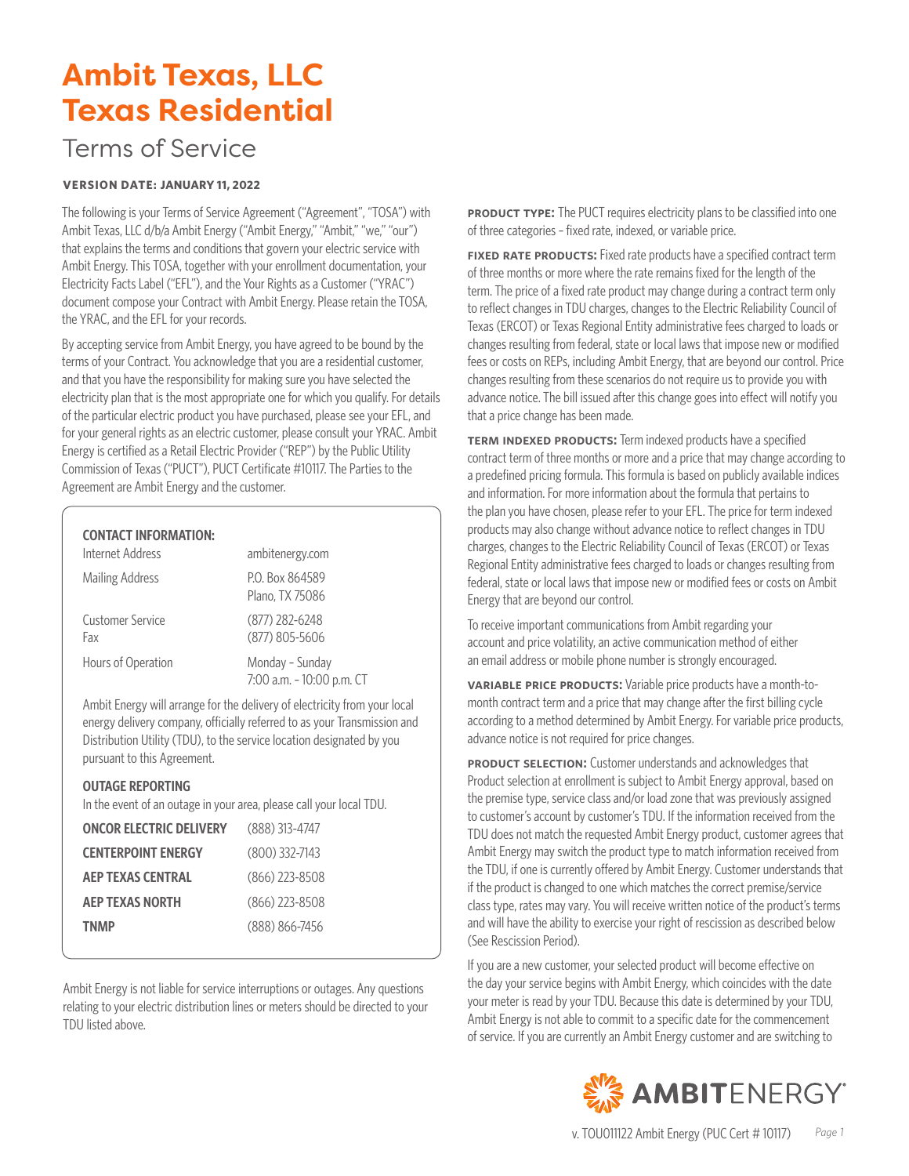## Terms of Service

#### **VERSION DATE: JANUARY 11, 2022**

The following is your Terms of Service Agreement ("Agreement", "TOSA") with Ambit Texas, LLC d/b/a Ambit Energy ("Ambit Energy," "Ambit," "we," "our") that explains the terms and conditions that govern your electric service with Ambit Energy. This TOSA, together with your enrollment documentation, your Electricity Facts Label ("EFL"), and the Your Rights as a Customer ("YRAC") document compose your Contract with Ambit Energy. Please retain the TOSA, the YRAC, and the EFL for your records.

By accepting service from Ambit Energy, you have agreed to be bound by the terms of your Contract. You acknowledge that you are a residential customer, and that you have the responsibility for making sure you have selected the electricity plan that is the most appropriate one for which you qualify. For details of the particular electric product you have purchased, please see your EFL, and for your general rights as an electric customer, please consult your YRAC. Ambit Energy is certified as a Retail Electric Provider ("REP") by the Public Utility Commission of Texas ("PUCT"), PUCT Certificate #10117. The Parties to the Agreement are Ambit Energy and the customer.

#### **CONTACT INFORMATION:**

| Internet Address               | ambitenergy.com                              |
|--------------------------------|----------------------------------------------|
| <b>Mailing Address</b>         | P.O. Box 864589<br>Plano, TX 75086           |
| <b>Customer Service</b><br>Fax | (877) 282-6248<br>(877) 805-5606             |
| Hours of Operation             | Monday - Sunday<br>7:00 a.m. - 10:00 p.m. CT |

Ambit Energy will arrange for the delivery of electricity from your local energy delivery company, officially referred to as your Transmission and Distribution Utility (TDU), to the service location designated by you pursuant to this Agreement.

#### **OUTAGE REPORTING**

In the event of an outage in your area, please call your local TDU.

| <b>ONCOR ELECTRIC DELIVERY</b> | (888) 313-4747     |
|--------------------------------|--------------------|
| <b>CENTERPOINT ENERGY</b>      | $(800)$ 332-7143   |
| <b>AEP TEXAS CENTRAL</b>       | $(866)$ 223-8508   |
| <b>AEP TEXAS NORTH</b>         | $(866)$ 223-8508   |
| <b>TNMP</b>                    | $(888) 866 - 7456$ |
|                                |                    |

Ambit Energy is not liable for service interruptions or outages. Any questions relating to your electric distribution lines or meters should be directed to your TDU listed above.

**PRODUCT TYPE:** The PUCT requires electricity plans to be classified into one of three categories – fixed rate, indexed, or variable price.

**FIXED RATE PRODUCTS:** Fixed rate products have a specified contract term of three months or more where the rate remains fixed for the length of the term. The price of a fixed rate product may change during a contract term only to reflect changes in TDU charges, changes to the Electric Reliability Council of Texas (ERCOT) or Texas Regional Entity administrative fees charged to loads or changes resulting from federal, state or local laws that impose new or modified fees or costs on REPs, including Ambit Energy, that are beyond our control. Price changes resulting from these scenarios do not require us to provide you with advance notice. The bill issued after this change goes into effect will notify you that a price change has been made.

**TERM INDEXED PRODUCTS:** Term indexed products have a specified contract term of three months or more and a price that may change according to a predefined pricing formula. This formula is based on publicly available indices and information. For more information about the formula that pertains to the plan you have chosen, please refer to your EFL. The price for term indexed products may also change without advance notice to reflect changes in TDU charges, changes to the Electric Reliability Council of Texas (ERCOT) or Texas Regional Entity administrative fees charged to loads or changes resulting from federal, state or local laws that impose new or modified fees or costs on Ambit Energy that are beyond our control.

To receive important communications from Ambit regarding your account and price volatility, an active communication method of either an email address or mobile phone number is strongly encouraged.

**variable price products:** Variable price products have a month-tomonth contract term and a price that may change after the first billing cycle according to a method determined by Ambit Energy. For variable price products, advance notice is not required for price changes.

**PRODUCT SELECTION:** Customer understands and acknowledges that Product selection at enrollment is subject to Ambit Energy approval, based on the premise type, service class and/or load zone that was previously assigned to customer's account by customer's TDU. If the information received from the TDU does not match the requested Ambit Energy product, customer agrees that Ambit Energy may switch the product type to match information received from the TDU, if one is currently offered by Ambit Energy. Customer understands that if the product is changed to one which matches the correct premise/service class type, rates may vary. You will receive written notice of the product's terms and will have the ability to exercise your right of rescission as described below (See Rescission Period).

If you are a new customer, your selected product will become effective on the day your service begins with Ambit Energy, which coincides with the date your meter is read by your TDU. Because this date is determined by your TDU, Ambit Energy is not able to commit to a specific date for the commencement of service. If you are currently an Ambit Energy customer and are switching to

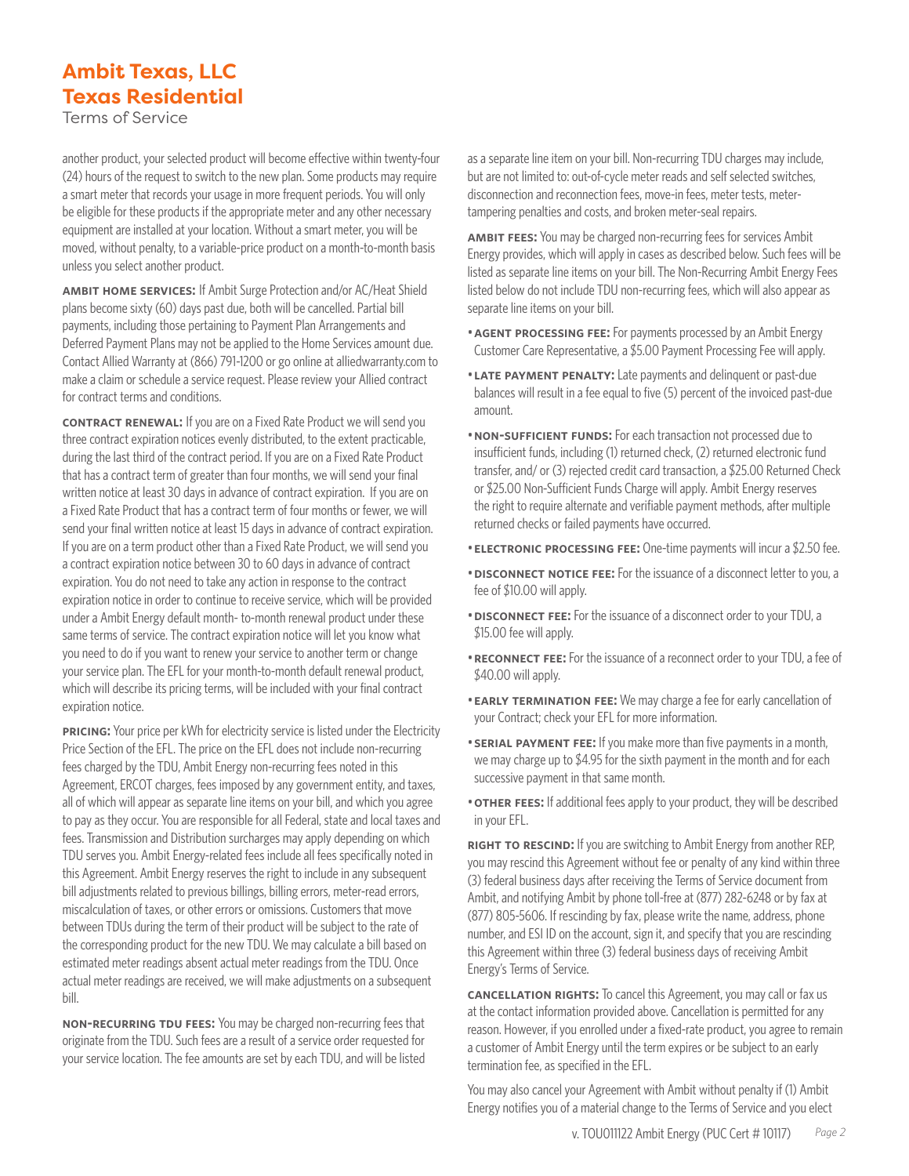Terms of Service

another product, your selected product will become effective within twenty-four (24) hours of the request to switch to the new plan. Some products may require a smart meter that records your usage in more frequent periods. You will only be eligible for these products if the appropriate meter and any other necessary equipment are installed at your location. Without a smart meter, you will be moved, without penalty, to a variable-price product on a month-to-month basis unless you select another product.

**ambit home services:** If Ambit Surge Protection and/or AC/Heat Shield plans become sixty (60) days past due, both will be cancelled. Partial bill payments, including those pertaining to Payment Plan Arrangements and Deferred Payment Plans may not be applied to the Home Services amount due. Contact Allied Warranty at (866) 791-1200 or go online at alliedwarranty.com to make a claim or schedule a service request. Please review your Allied contract for contract terms and conditions.

**CONTRACT RENEWAL:** If you are on a Fixed Rate Product we will send you three contract expiration notices evenly distributed, to the extent practicable, during the last third of the contract period. If you are on a Fixed Rate Product that has a contract term of greater than four months, we will send your final written notice at least 30 days in advance of contract expiration. If you are on a Fixed Rate Product that has a contract term of four months or fewer, we will send your final written notice at least 15 days in advance of contract expiration. If you are on a term product other than a Fixed Rate Product, we will send you a contract expiration notice between 30 to 60 days in advance of contract expiration. You do not need to take any action in response to the contract expiration notice in order to continue to receive service, which will be provided under a Ambit Energy default month- to-month renewal product under these same terms of service. The contract expiration notice will let you know what you need to do if you want to renew your service to another term or change your service plan. The EFL for your month-to-month default renewal product, which will describe its pricing terms, will be included with your final contract expiration notice.

**PRICING:** Your price per kWh for electricity service is listed under the Electricity Price Section of the EFL. The price on the EFL does not include non-recurring fees charged by the TDU, Ambit Energy non-recurring fees noted in this Agreement, ERCOT charges, fees imposed by any government entity, and taxes, all of which will appear as separate line items on your bill, and which you agree to pay as they occur. You are responsible for all Federal, state and local taxes and fees. Transmission and Distribution surcharges may apply depending on which TDU serves you. Ambit Energy-related fees include all fees specifically noted in this Agreement. Ambit Energy reserves the right to include in any subsequent bill adjustments related to previous billings, billing errors, meter-read errors, miscalculation of taxes, or other errors or omissions. Customers that move between TDUs during the term of their product will be subject to the rate of the corresponding product for the new TDU. We may calculate a bill based on estimated meter readings absent actual meter readings from the TDU. Once actual meter readings are received, we will make adjustments on a subsequent bill.

**NON-RECURRING TDU FEES:** You may be charged non-recurring fees that originate from the TDU. Such fees are a result of a service order requested for your service location. The fee amounts are set by each TDU, and will be listed as a separate line item on your bill. Non-recurring TDU charges may include, but are not limited to: out-of-cycle meter reads and self selected switches, disconnection and reconnection fees, move-in fees, meter tests, metertampering penalties and costs, and broken meter-seal repairs.

**ambit fees:** You may be charged non-recurring fees for services Ambit Energy provides, which will apply in cases as described below. Such fees will be listed as separate line items on your bill. The Non-Recurring Ambit Energy Fees listed below do not include TDU non-recurring fees, which will also appear as separate line items on your bill.

- •**agent processing fee:** For payments processed by an Ambit Energy Customer Care Representative, a \$5.00 Payment Processing Fee will apply.
- •**late payment penalty:** Late payments and delinquent or past-due balances will result in a fee equal to five (5) percent of the invoiced past-due amount.
- •**non-sufficient funds:** For each transaction not processed due to insufficient funds, including (1) returned check, (2) returned electronic fund transfer, and/ or (3) rejected credit card transaction, a \$25.00 Returned Check or \$25.00 Non-Sufficient Funds Charge will apply. Ambit Energy reserves the right to require alternate and verifiable payment methods, after multiple returned checks or failed payments have occurred.
- •**electronic processing fee:** One-time payments will incur a \$2.50 fee.
- **DISCONNECT NOTICE FEE:** For the issuance of a disconnect letter to you, a fee of \$10.00 will apply.
- •**disconnect fee:** For the issuance of a disconnect order to your TDU, a \$15.00 fee will apply.
- **RECONNECT FEE:** For the issuance of a reconnect order to your TDU, a fee of \$40.00 will apply.
- **EARLY TERMINATION FEE:** We may charge a fee for early cancellation of your Contract; check your EFL for more information.
- **SERIAL PAYMENT FEE:** If you make more than five payments in a month, we may charge up to \$4.95 for the sixth payment in the month and for each successive payment in that same month.
- **OTHER FEES:** If additional fees apply to your product, they will be described in your EFL.

**RIGHT TO RESCIND:** If you are switching to Ambit Energy from another REP, you may rescind this Agreement without fee or penalty of any kind within three (3) federal business days after receiving the Terms of Service document from Ambit, and notifying Ambit by phone toll-free at (877) 282-6248 or by fax at (877) 805-5606. If rescinding by fax, please write the name, address, phone number, and ESI ID on the account, sign it, and specify that you are rescinding this Agreement within three (3) federal business days of receiving Ambit Energy's Terms of Service.

**CANCELLATION RIGHTS:** To cancel this Agreement, you may call or fax us at the contact information provided above. Cancellation is permitted for any reason. However, if you enrolled under a fixed-rate product, you agree to remain a customer of Ambit Energy until the term expires or be subject to an early termination fee, as specified in the EFL.

You may also cancel your Agreement with Ambit without penalty if (1) Ambit Energy notifies you of a material change to the Terms of Service and you elect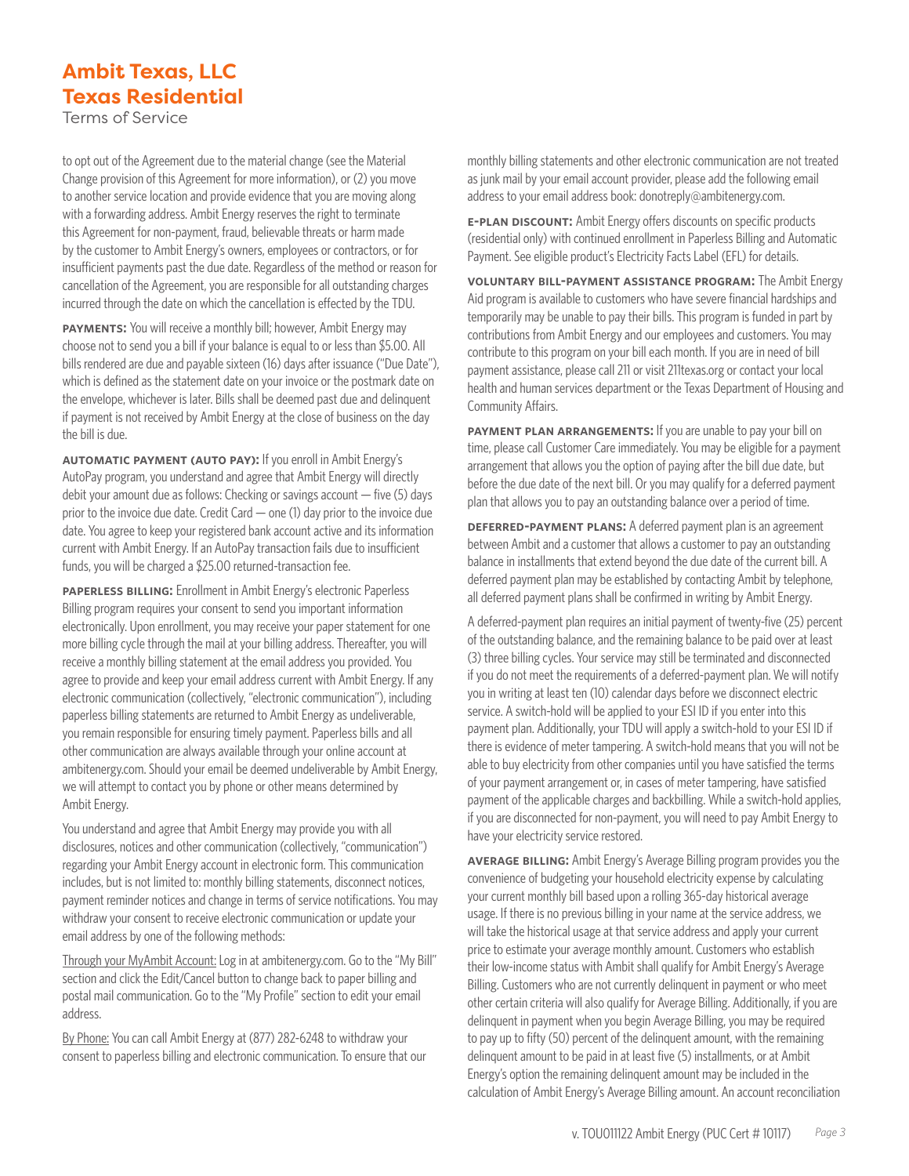Terms of Service

to opt out of the Agreement due to the material change (see the Material Change provision of this Agreement for more information), or (2) you move to another service location and provide evidence that you are moving along with a forwarding address. Ambit Energy reserves the right to terminate this Agreement for non-payment, fraud, believable threats or harm made by the customer to Ambit Energy's owners, employees or contractors, or for insufficient payments past the due date. Regardless of the method or reason for cancellation of the Agreement, you are responsible for all outstanding charges incurred through the date on which the cancellation is effected by the TDU.

**PAYMENTS:** You will receive a monthly bill; however, Ambit Energy may choose not to send you a bill if your balance is equal to or less than \$5.00. All bills rendered are due and payable sixteen (16) days after issuance ("Due Date"), which is defined as the statement date on your invoice or the postmark date on the envelope, whichever is later. Bills shall be deemed past due and delinquent if payment is not received by Ambit Energy at the close of business on the day the bill is due.

**automatic payment (auto pay):** If you enroll in Ambit Energy's AutoPay program, you understand and agree that Ambit Energy will directly debit your amount due as follows: Checking or savings account — five (5) days prior to the invoice due date. Credit Card — one (1) day prior to the invoice due date. You agree to keep your registered bank account active and its information current with Ambit Energy. If an AutoPay transaction fails due to insufficient funds, you will be charged a \$25.00 returned-transaction fee.

**PAPERLESS BILLING:** Enrollment in Ambit Energy's electronic Paperless Billing program requires your consent to send you important information electronically. Upon enrollment, you may receive your paper statement for one more billing cycle through the mail at your billing address. Thereafter, you will receive a monthly billing statement at the email address you provided. You agree to provide and keep your email address current with Ambit Energy. If any electronic communication (collectively, "electronic communication"), including paperless billing statements are returned to Ambit Energy as undeliverable, you remain responsible for ensuring timely payment. Paperless bills and all other communication are always available through your online account at ambitenergy.com. Should your email be deemed undeliverable by Ambit Energy, we will attempt to contact you by phone or other means determined by Ambit Energy.

You understand and agree that Ambit Energy may provide you with all disclosures, notices and other communication (collectively, "communication") regarding your Ambit Energy account in electronic form. This communication includes, but is not limited to: monthly billing statements, disconnect notices, payment reminder notices and change in terms of service notifications. You may withdraw your consent to receive electronic communication or update your email address by one of the following methods:

Through your MyAmbit Account: Log in at ambitenergy.com. Go to the "My Bill" section and click the Edit/Cancel button to change back to paper billing and postal mail communication. Go to the "My Profile" section to edit your email address.

By Phone: You can call Ambit Energy at (877) 282-6248 to withdraw your consent to paperless billing and electronic communication. To ensure that our monthly billing statements and other electronic communication are not treated as junk mail by your email account provider, please add the following email address to your email address book: donotreply@ambitenergy.com.

**E-PLAN DISCOUNT:** Ambit Energy offers discounts on specific products (residential only) with continued enrollment in Paperless Billing and Automatic Payment. See eligible product's Electricity Facts Label (EFL) for details.

**voluntary bill-payment assistance program:** The Ambit Energy Aid program is available to customers who have severe financial hardships and temporarily may be unable to pay their bills. This program is funded in part by contributions from Ambit Energy and our employees and customers. You may contribute to this program on your bill each month. If you are in need of bill payment assistance, please call 211 or visit 211texas.org or contact your local health and human services department or the Texas Department of Housing and Community Affairs.

**PAYMENT PLAN ARRANGEMENTS:** If you are unable to pay your bill on time, please call Customer Care immediately. You may be eligible for a payment arrangement that allows you the option of paying after the bill due date, but before the due date of the next bill. Or you may qualify for a deferred payment plan that allows you to pay an outstanding balance over a period of time.

**deferred-payment plans:** A deferred payment plan is an agreement between Ambit and a customer that allows a customer to pay an outstanding balance in installments that extend beyond the due date of the current bill. A deferred payment plan may be established by contacting Ambit by telephone, all deferred payment plans shall be confirmed in writing by Ambit Energy.

A deferred-payment plan requires an initial payment of twenty-five (25) percent of the outstanding balance, and the remaining balance to be paid over at least (3) three billing cycles. Your service may still be terminated and disconnected if you do not meet the requirements of a deferred-payment plan. We will notify you in writing at least ten (10) calendar days before we disconnect electric service. A switch-hold will be applied to your ESI ID if you enter into this payment plan. Additionally, your TDU will apply a switch-hold to your ESI ID if there is evidence of meter tampering. A switch-hold means that you will not be able to buy electricity from other companies until you have satisfied the terms of your payment arrangement or, in cases of meter tampering, have satisfied payment of the applicable charges and backbilling. While a switch-hold applies, if you are disconnected for non-payment, you will need to pay Ambit Energy to have your electricity service restored.

**average billing:** Ambit Energy's Average Billing program provides you the convenience of budgeting your household electricity expense by calculating your current monthly bill based upon a rolling 365-day historical average usage. If there is no previous billing in your name at the service address, we will take the historical usage at that service address and apply your current price to estimate your average monthly amount. Customers who establish their low-income status with Ambit shall qualify for Ambit Energy's Average Billing. Customers who are not currently delinquent in payment or who meet other certain criteria will also qualify for Average Billing. Additionally, if you are delinquent in payment when you begin Average Billing, you may be required to pay up to fifty (50) percent of the delinquent amount, with the remaining delinquent amount to be paid in at least five (5) installments, or at Ambit Energy's option the remaining delinquent amount may be included in the calculation of Ambit Energy's Average Billing amount. An account reconciliation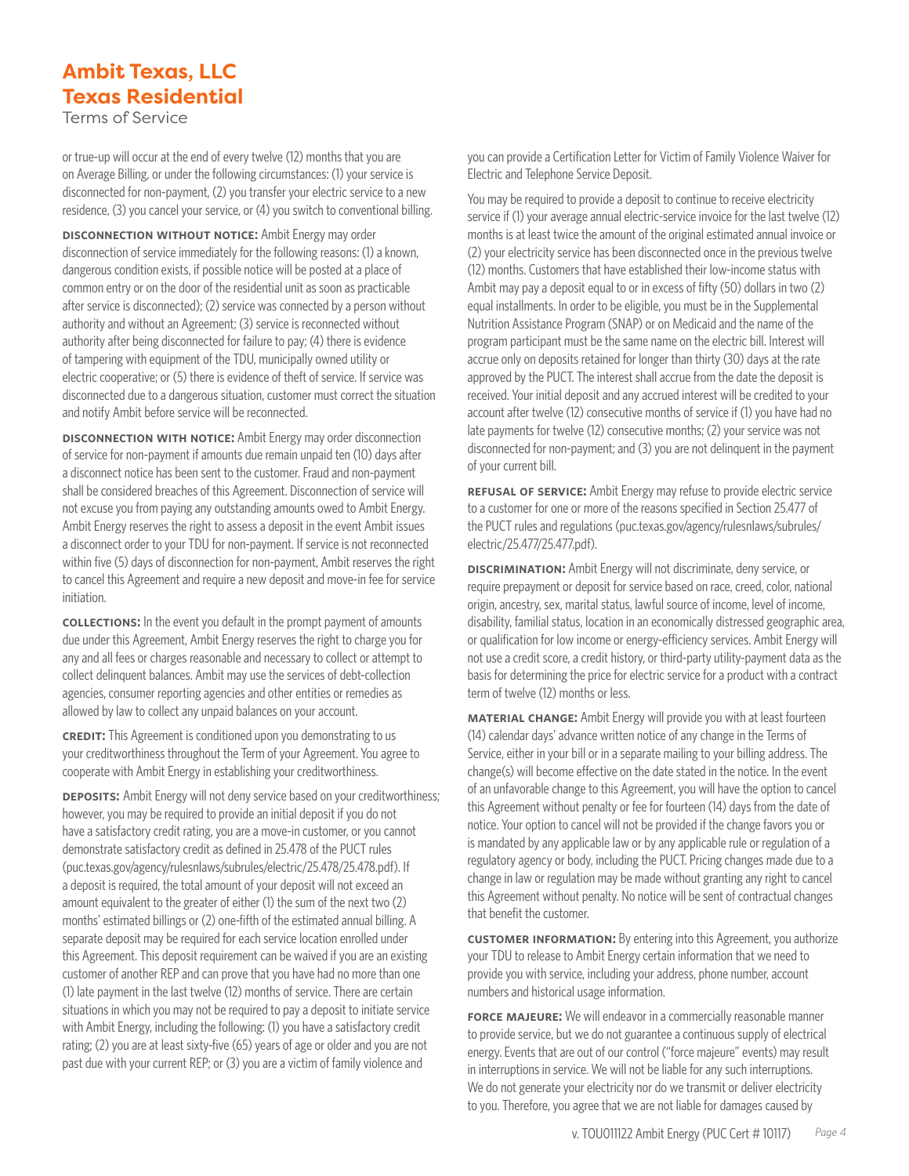Terms of Service

or true-up will occur at the end of every twelve (12) months that you are on Average Billing, or under the following circumstances: (1) your service is disconnected for non-payment, (2) you transfer your electric service to a new residence, (3) you cancel your service, or (4) you switch to conventional billing.

**DISCONNECTION WITHOUT NOTICE:** Ambit Energy may order disconnection of service immediately for the following reasons: (1) a known, dangerous condition exists, if possible notice will be posted at a place of common entry or on the door of the residential unit as soon as practicable after service is disconnected); (2) service was connected by a person without authority and without an Agreement; (3) service is reconnected without authority after being disconnected for failure to pay; (4) there is evidence of tampering with equipment of the TDU, municipally owned utility or electric cooperative; or (5) there is evidence of theft of service. If service was disconnected due to a dangerous situation, customer must correct the situation and notify Ambit before service will be reconnected.

**disconnection with notice:** Ambit Energy may order disconnection of service for non-payment if amounts due remain unpaid ten (10) days after a disconnect notice has been sent to the customer. Fraud and non-payment shall be considered breaches of this Agreement. Disconnection of service will not excuse you from paying any outstanding amounts owed to Ambit Energy. Ambit Energy reserves the right to assess a deposit in the event Ambit issues a disconnect order to your TDU for non-payment. If service is not reconnected within five (5) days of disconnection for non-payment, Ambit reserves the right to cancel this Agreement and require a new deposit and move-in fee for service initiation.

**collections:** In the event you default in the prompt payment of amounts due under this Agreement, Ambit Energy reserves the right to charge you for any and all fees or charges reasonable and necessary to collect or attempt to collect delinquent balances. Ambit may use the services of debt-collection agencies, consumer reporting agencies and other entities or remedies as allowed by law to collect any unpaid balances on your account.

**CREDIT:** This Agreement is conditioned upon you demonstrating to us your creditworthiness throughout the Term of your Agreement. You agree to cooperate with Ambit Energy in establishing your creditworthiness.

**DEPOSITS:** Ambit Energy will not deny service based on your creditworthiness; however, you may be required to provide an initial deposit if you do not have a satisfactory credit rating, you are a move-in customer, or you cannot demonstrate satisfactory credit as defined in 25.478 of the PUCT rules (puc.texas.gov/agency/rulesnlaws/subrules/electric/25.478/25.478.pdf). If a deposit is required, the total amount of your deposit will not exceed an amount equivalent to the greater of either (1) the sum of the next two (2) months' estimated billings or (2) one-fifth of the estimated annual billing. A separate deposit may be required for each service location enrolled under this Agreement. This deposit requirement can be waived if you are an existing customer of another REP and can prove that you have had no more than one (1) late payment in the last twelve (12) months of service. There are certain situations in which you may not be required to pay a deposit to initiate service with Ambit Energy, including the following: (1) you have a satisfactory credit rating; (2) you are at least sixty-five (65) years of age or older and you are not past due with your current REP; or (3) you are a victim of family violence and

you can provide a Certification Letter for Victim of Family Violence Waiver for Electric and Telephone Service Deposit.

You may be required to provide a deposit to continue to receive electricity service if (1) your average annual electric-service invoice for the last twelve (12) months is at least twice the amount of the original estimated annual invoice or (2) your electricity service has been disconnected once in the previous twelve (12) months. Customers that have established their low-income status with Ambit may pay a deposit equal to or in excess of fifty (50) dollars in two (2) equal installments. In order to be eligible, you must be in the Supplemental Nutrition Assistance Program (SNAP) or on Medicaid and the name of the program participant must be the same name on the electric bill. Interest will accrue only on deposits retained for longer than thirty (30) days at the rate approved by the PUCT. The interest shall accrue from the date the deposit is received. Your initial deposit and any accrued interest will be credited to your account after twelve (12) consecutive months of service if (1) you have had no late payments for twelve (12) consecutive months; (2) your service was not disconnected for non-payment; and (3) you are not delinquent in the payment of your current bill.

**refusal of service:** Ambit Energy may refuse to provide electric service to a customer for one or more of the reasons specified in Section 25.477 of the PUCT rules and regulations (puc.texas.gov/agency/rulesnlaws/subrules/ electric/25.477/25.477.pdf).

**DISCRIMINATION:** Ambit Energy will not discriminate, deny service, or require prepayment or deposit for service based on race, creed, color, national origin, ancestry, sex, marital status, lawful source of income, level of income, disability, familial status, location in an economically distressed geographic area, or qualification for low income or energy-efficiency services. Ambit Energy will not use a credit score, a credit history, or third-party utility-payment data as the basis for determining the price for electric service for a product with a contract term of twelve (12) months or less.

**material change:** Ambit Energy will provide you with at least fourteen (14) calendar days' advance written notice of any change in the Terms of Service, either in your bill or in a separate mailing to your billing address. The change(s) will become effective on the date stated in the notice. In the event of an unfavorable change to this Agreement, you will have the option to cancel this Agreement without penalty or fee for fourteen (14) days from the date of notice. Your option to cancel will not be provided if the change favors you or is mandated by any applicable law or by any applicable rule or regulation of a regulatory agency or body, including the PUCT. Pricing changes made due to a change in law or regulation may be made without granting any right to cancel this Agreement without penalty. No notice will be sent of contractual changes that benefit the customer.

**customer INFORMATION:** By entering into this Agreement, you authorize your TDU to release to Ambit Energy certain information that we need to provide you with service, including your address, phone number, account numbers and historical usage information.

**FORCE MAJEURE:** We will endeavor in a commercially reasonable manner to provide service, but we do not guarantee a continuous supply of electrical energy. Events that are out of our control ("force majeure" events) may result in interruptions in service. We will not be liable for any such interruptions. We do not generate your electricity nor do we transmit or deliver electricity to you. Therefore, you agree that we are not liable for damages caused by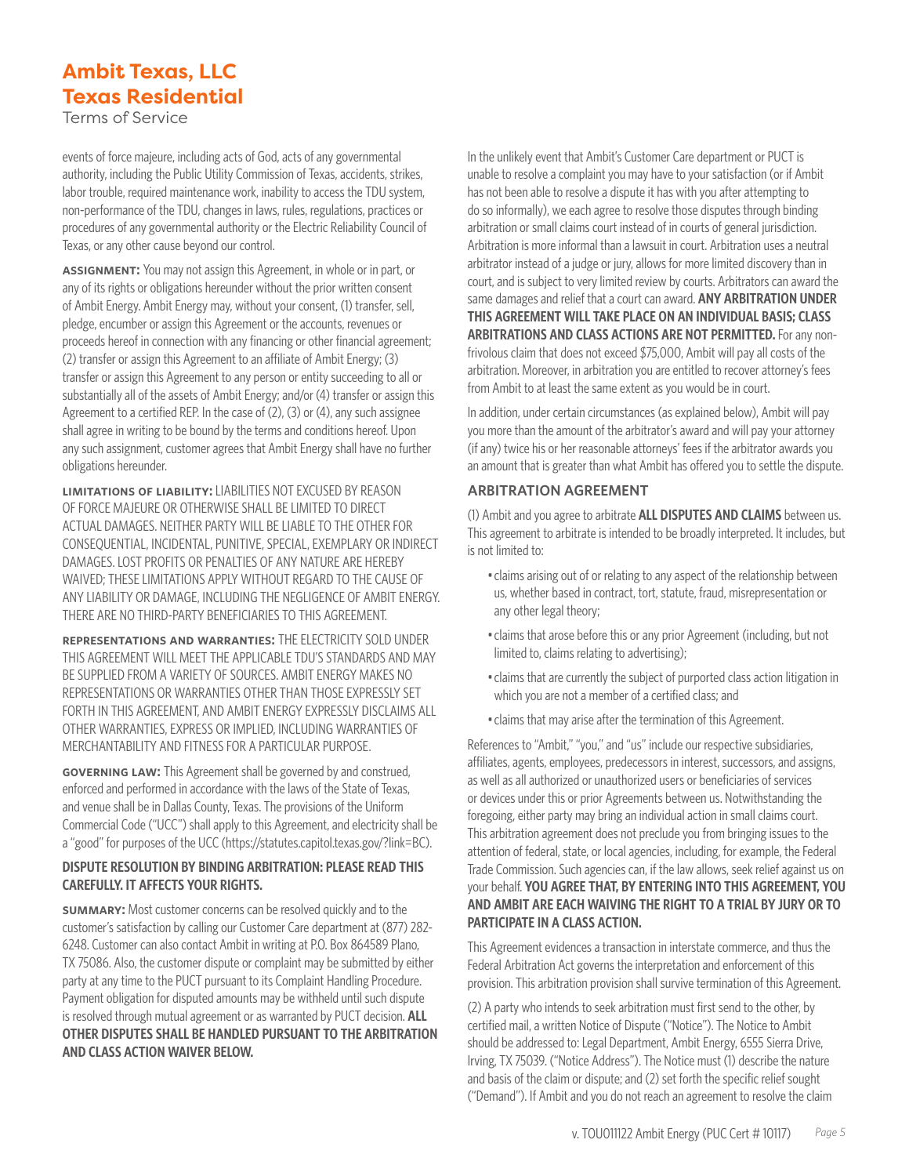Terms of Service

events of force majeure, including acts of God, acts of any governmental authority, including the Public Utility Commission of Texas, accidents, strikes, labor trouble, required maintenance work, inability to access the TDU system, non-performance of the TDU, changes in laws, rules, regulations, practices or procedures of any governmental authority or the Electric Reliability Council of Texas, or any other cause beyond our control.

**assignment:** You may not assign this Agreement, in whole or in part, or any of its rights or obligations hereunder without the prior written consent of Ambit Energy. Ambit Energy may, without your consent, (1) transfer, sell, pledge, encumber or assign this Agreement or the accounts, revenues or proceeds hereof in connection with any financing or other financial agreement; (2) transfer or assign this Agreement to an affiliate of Ambit Energy; (3) transfer or assign this Agreement to any person or entity succeeding to all or substantially all of the assets of Ambit Energy; and/or (4) transfer or assign this Agreement to a certified REP. In the case of (2), (3) or (4), any such assignee shall agree in writing to be bound by the terms and conditions hereof. Upon any such assignment, customer agrees that Ambit Energy shall have no further obligations hereunder.

**limitations of liability:** LIABILITIES NOT EXCUSED BY REASON OF FORCE MAJEURE OR OTHERWISE SHALL BE LIMITED TO DIRECT ACTUAL DAMAGES. NEITHER PARTY WILL BE LIABLE TO THE OTHER FOR CONSEQUENTIAL, INCIDENTAL, PUNITIVE, SPECIAL, EXEMPLARY OR INDIRECT DAMAGES. LOST PROFITS OR PENALTIES OF ANY NATURE ARE HEREBY WAIVED; THESE LIMITATIONS APPLY WITHOUT REGARD TO THE CAUSE OF ANY LIABILITY OR DAMAGE, INCLUDING THE NEGLIGENCE OF AMBIT ENERGY. THERE ARE NO THIRD-PARTY BENEFICIARIES TO THIS AGREEMENT.

**representations and warranties:** THE ELECTRICITY SOLD UNDER THIS AGREEMENT WILL MEET THE APPLICABLE TDU'S STANDARDS AND MAY BE SUPPLIED FROM A VARIETY OF SOURCES. AMBIT ENERGY MAKES NO REPRESENTATIONS OR WARRANTIES OTHER THAN THOSE EXPRESSLY SET FORTH IN THIS AGREEMENT, AND AMBIT ENERGY EXPRESSLY DISCLAIMS ALL OTHER WARRANTIES, EXPRESS OR IMPLIED, INCLUDING WARRANTIES OF MERCHANTABILITY AND FITNESS FOR A PARTICULAR PURPOSE.

**governing law:** This Agreement shall be governed by and construed, enforced and performed in accordance with the laws of the State of Texas, and venue shall be in Dallas County, Texas. The provisions of the Uniform Commercial Code ("UCC") shall apply to this Agreement, and electricity shall be a "good" for purposes of the UCC (https://statutes.capitol.texas.gov/?link=BC).

#### **DISPUTE RESOLUTION BY BINDING ARBITRATION: PLEASE READ THIS CAREFULLY. IT AFFECTS YOUR RIGHTS.**

**summary:** Most customer concerns can be resolved quickly and to the customer's satisfaction by calling our Customer Care department at (877) 282- 6248. Customer can also contact Ambit in writing at P.O. Box 864589 Plano, TX 75086. Also, the customer dispute or complaint may be submitted by either party at any time to the PUCT pursuant to its Complaint Handling Procedure. Payment obligation for disputed amounts may be withheld until such dispute is resolved through mutual agreement or as warranted by PUCT decision. **ALL OTHER DISPUTES SHALL BE HANDLED PURSUANT TO THE ARBITRATION AND CLASS ACTION WAIVER BELOW.**

In the unlikely event that Ambit's Customer Care department or PUCT is unable to resolve a complaint you may have to your satisfaction (or if Ambit has not been able to resolve a dispute it has with you after attempting to do so informally), we each agree to resolve those disputes through binding arbitration or small claims court instead of in courts of general jurisdiction. Arbitration is more informal than a lawsuit in court. Arbitration uses a neutral arbitrator instead of a judge or jury, allows for more limited discovery than in court, and is subject to very limited review by courts. Arbitrators can award the same damages and relief that a court can award. **ANY ARBITRATION UNDER THIS AGREEMENT WILL TAKE PLACE ON AN INDIVIDUAL BASIS; CLASS ARBITRATIONS AND CLASS ACTIONS ARE NOT PERMITTED.** For any nonfrivolous claim that does not exceed \$75,000, Ambit will pay all costs of the arbitration. Moreover, in arbitration you are entitled to recover attorney's fees from Ambit to at least the same extent as you would be in court.

In addition, under certain circumstances (as explained below), Ambit will pay you more than the amount of the arbitrator's award and will pay your attorney (if any) twice his or her reasonable attorneys' fees if the arbitrator awards you an amount that is greater than what Ambit has offered you to settle the dispute.

#### **ARBITRATION AGREEMENT**

(1) Ambit and you agree to arbitrate **ALL DISPUTES AND CLAIMS** between us. This agreement to arbitrate is intended to be broadly interpreted. It includes, but is not limited to:

- •claims arising out of or relating to any aspect of the relationship between us, whether based in contract, tort, statute, fraud, misrepresentation or any other legal theory;
- •claims that arose before this or any prior Agreement (including, but not limited to, claims relating to advertising);
- •claims that are currently the subject of purported class action litigation in which you are not a member of a certified class; and
- •claims that may arise after the termination of this Agreement.

References to "Ambit," "you," and "us" include our respective subsidiaries, affiliates, agents, employees, predecessors in interest, successors, and assigns, as well as all authorized or unauthorized users or beneficiaries of services or devices under this or prior Agreements between us. Notwithstanding the foregoing, either party may bring an individual action in small claims court. This arbitration agreement does not preclude you from bringing issues to the attention of federal, state, or local agencies, including, for example, the Federal Trade Commission. Such agencies can, if the law allows, seek relief against us on your behalf. **YOU AGREE THAT, BY ENTERING INTO THIS AGREEMENT, YOU AND AMBIT ARE EACH WAIVING THE RIGHT TO A TRIAL BY JURY OR TO PARTICIPATE IN A CLASS ACTION.**

This Agreement evidences a transaction in interstate commerce, and thus the Federal Arbitration Act governs the interpretation and enforcement of this provision. This arbitration provision shall survive termination of this Agreement.

(2) A party who intends to seek arbitration must first send to the other, by certified mail, a written Notice of Dispute ("Notice"). The Notice to Ambit should be addressed to: Legal Department, Ambit Energy, 6555 Sierra Drive, Irving, TX 75039. ("Notice Address"). The Notice must (1) describe the nature and basis of the claim or dispute; and (2) set forth the specific relief sought ("Demand"). If Ambit and you do not reach an agreement to resolve the claim